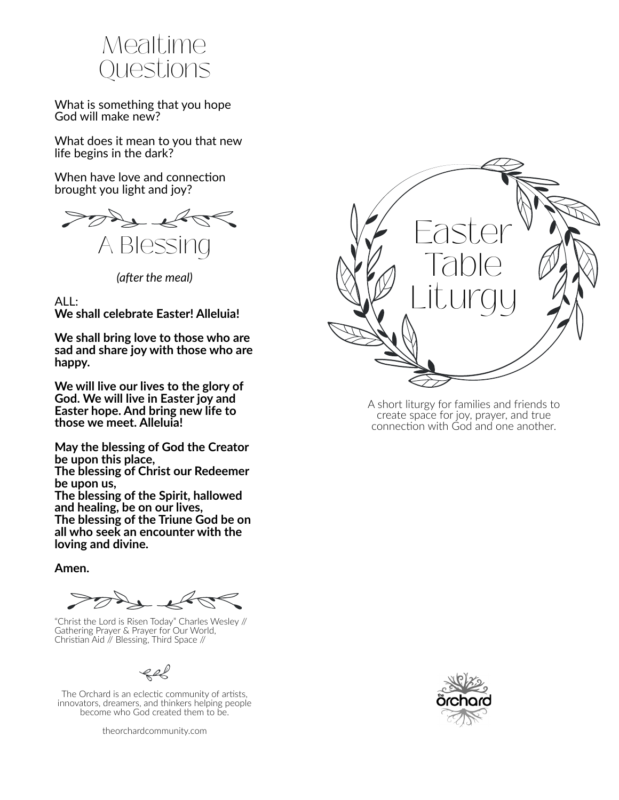

What is something that you hope God will make new?

What does it mean to you that new life begins in the dark?

When have love and connection brought you light and joy?



*(a�er the meal)*

ALL:

**We shall celebrate Easter! Alleluia!**

**We shall bring love to those who are sad and share joy with those who are happy.**

**We will live our lives to the glory of God. We will live in Easter joy and Easter hope. And bring new life to those we meet. Alleluia!**

**May the blessing of God the Creator be upon this place, The blessing of Christ our Redeemer**

**be upon us, The blessing of the Spirit, hallowed**

**and healing, be on our lives, The blessing of the Triune God be on all who seek an encounter with the loving and divine.**

**Amen.**

"Christ the Lord is Risen Today" Charles Wesley // Gathering Prayer & Prayer for Our World, Chris�an Aid // Blessing, Third Space //

The Orchard is an eclectic community of artists, innovators, dreamers, and thinkers helping people become who God created them to be.

theorchardcommunity.com



A short liturgy for families and friends to create space for joy, prayer, and true connection with God and one another.